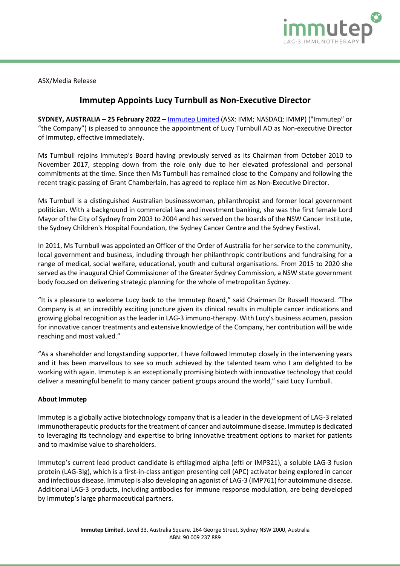

ASX/Media Release

## **Immutep Appoints Lucy Turnbull as Non-Executive Director**

**SYDNEY, AUSTRALIA – 25 February 2022 –** [Immutep Limited](http://www.immutep.com/) (ASX: IMM; NASDAQ: IMMP) ("Immutep" or "the Company") is pleased to announce the appointment of Lucy Turnbull AO as Non-executive Director of Immutep, effective immediately.

Ms Turnbull rejoins Immutep's Board having previously served as its Chairman from October 2010 to November 2017, stepping down from the role only due to her elevated professional and personal commitments at the time. Since then Ms Turnbull has remained close to the Company and following the recent tragic passing of Grant Chamberlain, has agreed to replace him as Non-Executive Director.

Ms Turnbull is a distinguished Australian businesswoman, philanthropist and former local government politician. With a background in commercial law and investment banking, she was the first female Lord Mayor of the City of Sydney from 2003 to 2004 and has served on the boards of the NSW Cancer Institute, the Sydney Children's Hospital Foundation, the Sydney Cancer Centre and the Sydney Festival.

In 2011, Ms Turnbull was appointed an Officer of the Order of Australia for her service to the community, local government and business, including through her philanthropic contributions and fundraising for a range of medical, social welfare, educational, youth and cultural organisations. From 2015 to 2020 she served as the inaugural Chief Commissioner of the Greater Sydney Commission, a NSW state government body focused on delivering strategic planning for the whole of metropolitan Sydney.

"It is a pleasure to welcome Lucy back to the Immutep Board," said Chairman Dr Russell Howard. "The Company is at an incredibly exciting juncture given its clinical results in multiple cancer indications and growing global recognition as the leader in LAG-3 immuno-therapy. With Lucy's business acumen, passion for innovative cancer treatments and extensive knowledge of the Company, her contribution will be wide reaching and most valued."

"As a shareholder and longstanding supporter, I have followed Immutep closely in the intervening years and it has been marvellous to see so much achieved by the talented team who I am delighted to be working with again. Immutep is an exceptionally promising biotech with innovative technology that could deliver a meaningful benefit to many cancer patient groups around the world," said Lucy Turnbull.

## **About Immutep**

Immutep is a globally active biotechnology company that is a leader in the development of LAG-3 related immunotherapeutic products for the treatment of cancer and autoimmune disease. Immutep is dedicated to leveraging its technology and expertise to bring innovative treatment options to market for patients and to maximise value to shareholders.

Immutep's current lead product candidate is eftilagimod alpha (efti or IMP321), a soluble LAG-3 fusion protein (LAG-3Ig), which is a first-in-class antigen presenting cell (APC) activator being explored in cancer and infectious disease. Immutep is also developing an agonist of LAG-3 (IMP761) for autoimmune disease. Additional LAG-3 products, including antibodies for immune response modulation, are being developed by Immutep's large pharmaceutical partners.